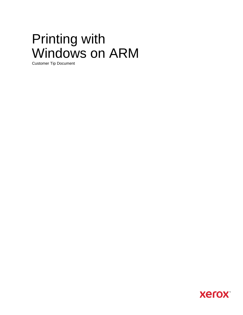# Printing with Windows on ARM

Customer Tip Document

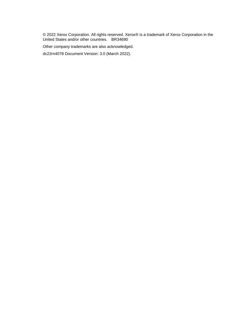© 2022 Xerox Corporation. All rights reserved. Xerox® is a trademark of Xerox Corporation in the United States and/or other countries. BR34690

Other company trademarks are also acknowledged.

dc22rn4078 Document Version: 3.0 (March 2022).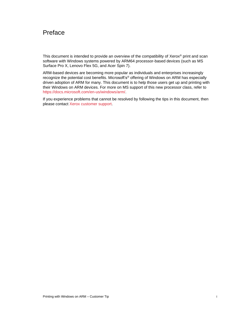### Preface

This document is intended to provide an overview of the compatibility of Xerox<sup>®</sup> print and scan software with Windows systems powered by ARM64 processor-based devices (such as MS Surface Pro X, Lenovo Flex 5G, and Acer Spin 7).

ARM-based devices are becoming more popular as individuals and enterprises increasingly recognize the potential cost benefits. Microsoft's® offering of Windows on ARM has especially driven adoption of ARM for many. This document is to help those users get up and printing with their Windows on ARM devices. For more on MS support of this new processor class, refer to [https://docs.microsoft.com/en-us/windows/arm/.](https://docs.microsoft.com/en-us/windows/arm/)

If you experience problems that cannot be resolved by following the tips in this document, then please contact [Xerox customer support.](https://www.xerox.com/en-us/about/contact-us)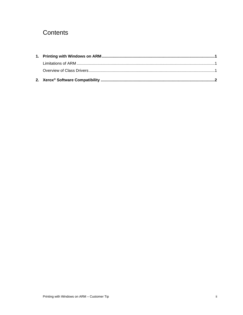## Contents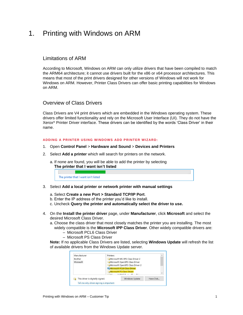## <span id="page-4-0"></span>1. Printing with Windows on ARM

#### <span id="page-4-1"></span>Limitations of ARM

According to Microsoft, Windows on ARM can only utilize drivers that have been compiled to match the ARM64 architecture; it cannot use drivers built for the x86 or x64 processor architectures. This means that most of the print drivers designed for other versions of Windows will not work for Windows on ARM. However, Printer Class Drivers can offer basic printing capabilities for Windows on ARM.

#### <span id="page-4-2"></span>Overview of Class Drivers

Class Drivers are V4 print drivers which are embedded in the Windows operating system. These drivers offer limited functionality and rely on the Microsoft User Interface (UI). They do not have the Xerox® Printer Driver interface. These drivers can be identified by the words 'Class Driver' in their name.

#### **ADDING A PRINTER USING WINDOWS ADD PRINTER WIZARD:**

- 1. Open **Control Panel** > **Hardware and Sound** > **Devices and Printers**
- 2. Select **Add a printer** which will search for printers on the network.
	- a. If none are found, you will be able to add the printer by selecting **The printer that I want isn't listed**

| The printer that I want isn't listed |  |  |  |  |  |
|--------------------------------------|--|--|--|--|--|

- 3. Select **Add a local printer or network printer with manual settings**
	- a. Select **Create a new Port > Standard TCP/IP Port**.
	- b. Enter the IP address of the printer you'd like to install.
	- c. Uncheck **Query the printer and automatically select the driver to use.**
- 4. On the **Install the printer driver** page, under **Manufacturer**, click **Microsoft** and select the desired Microsoft Class Driver.
	- a. Choose the class driver that most closely matches the printer you are installing. The most widely compatible is the **Microsoft IPP Class Driver**. Other widely compatible drivers are:
		- Microsoft PCL6 Class Driver
		- Microsoft PS Class Driver

**Note:** If no applicable Class Drivers are listed, selecting **Windows Update** will refresh the list of available drivers from the Windows Update server.

| Manufacturer | Printers                         |  |  |  |
|--------------|----------------------------------|--|--|--|
| Brother      | Microsoft MS-XPS Class Driver 2  |  |  |  |
| Microsoft    | Microsoft OpenXPS Class Driver   |  |  |  |
|              | Microsoft OpenXPS Class Driver 2 |  |  |  |
|              | Microsoft PCL6 Class Driver      |  |  |  |
|              | Microsoft PS Class Driver        |  |  |  |
|              | $f_1$ music m                    |  |  |  |
|              |                                  |  |  |  |